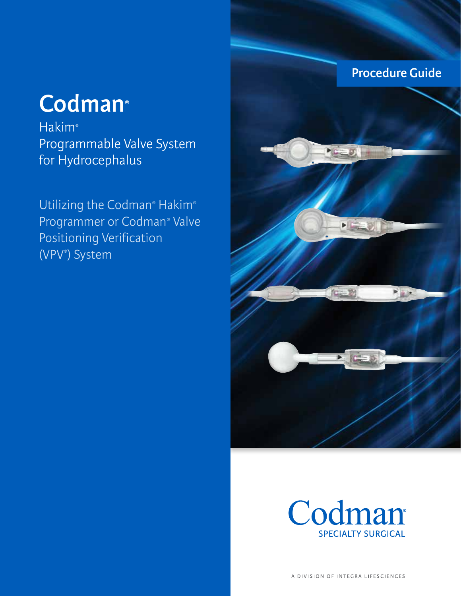# **Procedure Guide**

# **Codman®**

**Hakim**® Programmable Valve System for Hydrocephalus

Utilizing the Codman® Hakim® Programmer or Codman® Valve Positioning Verification (VPV® ) System



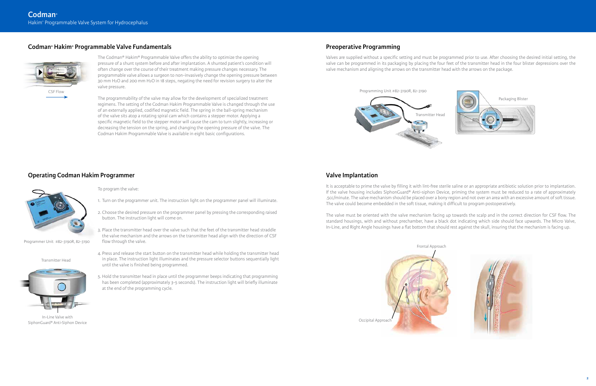The Codman® Hakim® Programmable Valve offers the ability to optimize the opening pressure of a shunt system before and after implantation. A shunted patient's condition will often change over the course of their treatment making pressure changes necessary. The programmable valve allows a surgeon to non-invasively change the opening pressure between 30 mm H2O and 200 mm H2O in 18 steps, negating the need for revision surgery to alter the valve pressure.

The programmability of the valve may allow for the development of specialized treatment regimens. The setting of the Codman Hakim Programmable Valve is changed through the use of an externally applied, codified magnetic field. The spring in the ball-spring mechanism of the valve sits atop a rotating spiral cam which contains a stepper motor. Applying a specific magnetic field to the stepper motor will cause the cam to turn slightly, increasing or decreasing the tension on the spring, and changing the opening pressure of the valve. The Codman Hakim Programmable Valve is available in eight basic configurations.

- To program the valve:
- 1. Turn on the programmer unit. The instruction light on the programmer panel will illuminate.
- 2. Choose the desired pressure on the programmer panel by pressing the corresponding raised button. The instruction light will come on.
- 3. Place the transmitter head over the valve such that the feet of the transmitter head straddle the valve mechanism and the arrows on the transmitter head align with the direction of CSF flow through the valve.
- 4. Press and release the start button on the transmitter head while holding the transmitter head in place. The instruction light illuminates and the pressure selector buttons sequentially light until the valve is finished being programmed.
- 5. Hold the transmitter head in place until the programmer beeps indicating that programming has been completed (approximately 3-5 seconds). The instruction light will briefly illuminate at the end of the programming cycle.



Programmer Unit #82-3190R, 82-3190

Transmitter Head



In-Line Valve with SiphonGuard® Anti-Siphon Device

# **Codman® Hakim® Programmable Valve Fundamentals**

# **Operating Codman Hakim Programmer**

Valves are supplied without a specific setting and must be programmed prior to use. After choosing the desired initial setting, the valve can be programmed in its packaging by placing the four feet of the transmitter head in the four blister depressions over the valve mechanism and aligning the arrows on the transmitter head with the arrows on the package.

# **Preoperative Programming**



Programming Unit #82-3190R, 82-3190







It is acceptable to prime the valve by filling it with lint-free sterile saline or an appropriate antibiotic solution prior to implantation. If the valve housing includes SiphonGuard® Anti-siphon Device, priming the system must be reduced to a rate of approximately .5cc/minute. The valve mechanism should be placed over a bony region and not over an area with an excessive amount of soft tissue. The valve could become embedded in the soft tissue, making it difficult to program postoperatively.

The valve must be oriented with the valve mechanism facing up towards the scalp and in the correct direction for CSF flow. The standard housings, with and without prechamber, have a black dot indicating which side should face upwards. The Micro Valve, In-Line, and Right Angle housings have a flat bottom that should rest against the skull, insuring that the mechanism is facing up.

# **Valve Implantation**

Frontal Approach





CSF Flow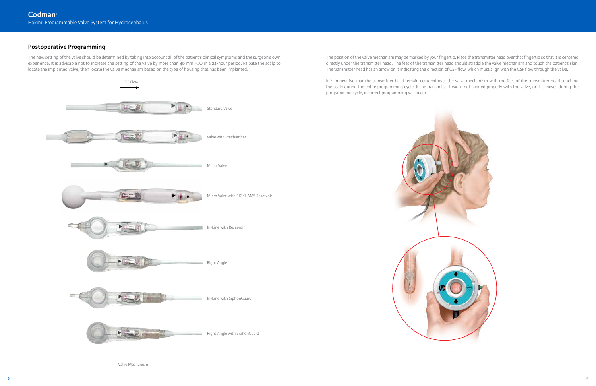The new setting of the valve should be determined by taking into account all of the patient's clinical symptoms and the surgeon's own experience. It is advisable not to increase the setting of the valve by more than 40 mm H2O in a 24-hour period. Palpate the scalp to locate the implanted valve, then locate the valve mechanism based on the type of housing that has been implanted.

# **Postoperative Programming**

The position of the valve mechanism may be marked by your fingertip. Place the transmitter head over that fingertip so that it is centered directly under the transmitter head. The feet of the transmitter head should straddle the valve mechanism and touch the patient's skin. The transmitter head has an arrow on it indicating the direction of CSF flow, which must align with the CSF flow through the valve.

It is imperative that the transmitter head remain centered over the valve mechanism with the feet of the transmitter head touching the scalp during the entire programming cycle. If the transmitter head is not aligned properly with the valve, or if it moves during the programming cycle, incorrect programming will occur.



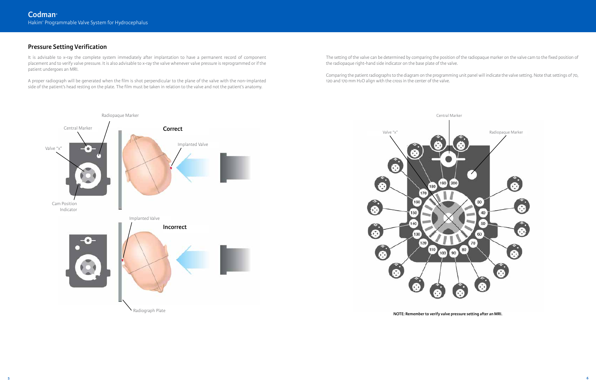It is advisable to x-ray the complete system immediately after implantation to have a permanent record of component placement and to verify valve pressure. It is also advisable to x-ray the valve whenever valve pressure is reprogrammed or if the patient undergoes an MRI.

A proper radiograph will be generated when the film is shot perpendicular to the plane of the valve with the non-implanted side of the patient's head resting on the plate. The film must be taken in relation to the valve and not the patient's anatomy.

# **Pressure Setting Verification**

The setting of the valve can be determined by comparing the position of the radiopaque marker on the valve cam to the fixed position of the radiopaque right-hand side indicator on the base plate of the valve.

Comparing the patient radiographs to the diagram on the programming unit panel will indicate the valve setting. Note that settings of 70, 120 and 170 mm H2O align with the cross in the center of the valve.





**NOTE: Remember to verify valve pressure setting after an MRI.**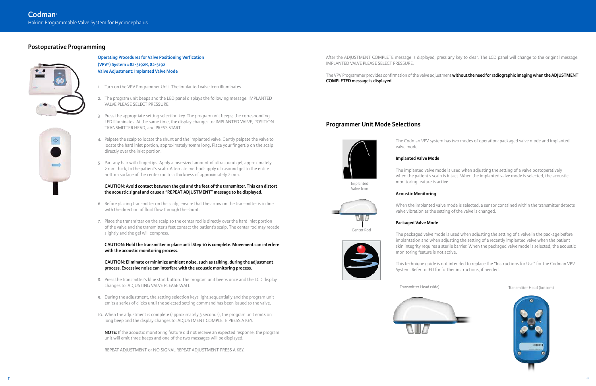**Operating Procedures for Valve Positioning Verfication (VPV®) System #82-3192R, 82-3192 Valve Adjustment: Implanted Valve Mode**

- 1. Turn on the VPV Programmer Unit. The implanted valve icon illuminates.
- 2. The program unit beeps and the LED panel displays the following message: IMPLANTED VALVE PLEASE SELECT PRESSURE.
- 3. Press the appropriate setting selection key. The program unit beeps; the corresponding LED illuminates. At the same time, the display changes to: IMPLANTED VALVE, POSITION TRANSMITTER HEAD, and PRESS START.
- 4. Palpate the scalp to locate the shunt and the implanted valve. Gently palpate the valve to locate the hard inlet portion, approximately 10mm long. Place your fingertip on the scalp directly over the inlet portion.
- 5. Part any hair with fingertips. Apply a pea-sized amount of ultrasound gel, approximately 2 mm thick, to the patient's scalp. Alternate method: apply ultrasound gel to the entire bottom surface of the center rod to a thickness of approximately 2 mm.

#### **CAUTION: Avoid contact between the gel and the feet of the transmitter. This can distort the acoustic signal and cause a "REPEAT ADJUSTMENT" message to be displayed.**

- 6. Before placing transmitter on the scalp, ensure that the arrow on the transmitter is in line with the direction of fluid flow through the shunt.
- 7. Place the transmitter on the scalp so the center rod is directly over the hard inlet portion of the valve and the transmitter's feet contact the patient's scalp. The center rod may recede slightly and the gel will compress.

**CAUTION: Hold the transmitter in place until Step 10 is complete. Movement can interfere with the acoustic monitoring process.**

**CAUTION: Eliminate or minimize ambient noise, such as talking, during the adjustment process. Excessive noise can interfere with the acoustic monitoring process.**

- 8. Press the transmitter's blue start button. The program unit beeps once and the LCD display changes to: ADJUSTING VALVE PLEASE WAIT.
- 9. During the adjustment, the setting selection keys light sequentially and the program unit emits a series of clicks until the selected setting command has been issued to the valve.
- 10. When the adjustment is complete (approximately 3 seconds), the program unit emits on long beep and the display changes to: ADJUSTMENT COMPLETE PRESS A KEY.

**NOTE:** If the acoustic monitoring feature did not receive an expected response, the program unit will emit three beeps and one of the two messages will be displayed.

REPEAT ADJUSTMENT or NO SIGNAL REPEAT ADJUSTMENT PRESS A KEY.

# **Postoperative Programming**



After the ADJUSTMENT COMPLETE message is displayed, press any key to clear. The LCD panel will change to the original message: IMPLANTED VALVE PLEASE SELECT PRESSURE.

#### The VPV Programmer provides confirmation of the valve adjustment **without the need for radiographic imaging when the ADJUSTMENT**

**COMPLETED message is displayed.**

The Codman VPV system has two modes of operation: packaged valve mode and implanted valve mode.

### **Implanted Valve Mode**

The implanted valve mode is used when adjusting the setting of a valve postoperatively when the patient's scalp is intact. When the implanted valve mode is selected, the acoustic

monitoring feature is active.

#### **Acoustic Monitoring**

When the implanted valve mode is selected, a sensor contained within the transmitter detects valve vibration as the setting of the valve is changed.

## **Packaged Valve Mode**

The packaged valve mode is used when adjusting the setting of a valve in the package before implantation and when adjusting the setting of a recently implanted valve when the patient skin integrity requires a sterile barrier. When the packaged valve mode is selected, the acoustic monitoring feature is not active.

This technique guide is not intended to replace the "Instructions for Use" for the Codman VPV System. Refer to IFU for further instructions, if needed.



# **Programmer Unit Mode Selections**



Valve Icon

Center Rod



Transmitter Head (side) Transmitter Head (bottom)

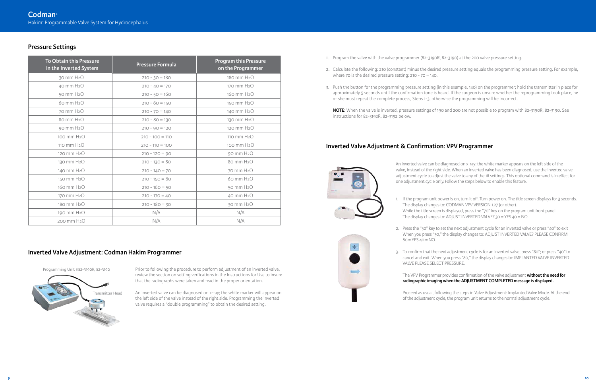# **Pressure Settings**

| <b>To Obtain this Pressure</b><br>in the Inverted System | <b>Pressure Formula</b> | <b>Program this Pressure</b><br>on the Programmer |
|----------------------------------------------------------|-------------------------|---------------------------------------------------|
| 30 mm H <sub>2</sub> O                                   | $210 - 30 = 180$        | 180 mm H <sub>2</sub> O                           |
| 40 mm H <sub>2</sub> O                                   | $210 - 40 = 170$        | 170 mm H <sub>2</sub> O                           |
| 50 mm H <sub>2</sub> O                                   | $210 - 50 = 160$        | 160 mm H <sub>2</sub> O                           |
| 60 mm H <sub>2</sub> O                                   | $210 - 60 = 150$        | 150 mm H <sub>2</sub> O                           |
| 70 mm H <sub>2</sub> O                                   | $210 - 70 = 140$        | 140 mm H <sub>2</sub> O                           |
| 80 mm H <sub>2</sub> O                                   | $210 - 80 = 130$        | 130 mm H <sub>2</sub> O                           |
| 90 mm H <sub>2</sub> O                                   | $210 - 90 = 120$        | 120 mm H <sub>2</sub> O                           |
| 100 mm H <sub>2</sub> O                                  | $210 - 100 = 110$       | 110 mm H <sub>2</sub> O                           |
| 110 mm H <sub>2</sub> O                                  | $210 - 110 = 100$       | 100 mm H <sub>2</sub> O                           |
| 120 mm H <sub>2</sub> O                                  | $210 - 120 = 90$        | 90 mm H <sub>2</sub> O                            |
| 130 mm H <sub>2</sub> O                                  | $210 - 130 = 80$        | 80 mm H <sub>2</sub> O                            |
| 140 mm H <sub>2</sub> O                                  | $210 - 140 = 70$        | 70 mm H <sub>2</sub> O                            |
| 150 mm H <sub>2</sub> O                                  | $210 - 150 = 60$        | 60 mm H <sub>2</sub> O                            |
| 160 mm H <sub>2</sub> O                                  | $210 - 160 = 50$        | 50 mm H <sub>2</sub> O                            |
| 170 mm H <sub>2</sub> O                                  | $210 - 170 = 40$        | 40 mm H <sub>2</sub> O                            |
| 180 mm H <sub>2</sub> O                                  | $210 - 180 = 30$        | 30 mm H <sub>2</sub> O                            |
| 190 mm H <sub>2</sub> O                                  | N/A                     | N/A                                               |
| 200 mm H <sub>2</sub> O                                  | N/A                     | N/A                                               |

Prior to following the procedure to perform adjustment of an inverted valve, review the section on setting verfications in the Instructions for Use to insure that the radiographs were taken and read in the proper orientation.

- 1. Program the valve with the valve programmer (82-3190R, 82-3190) at the 200 valve pressure setting.
- where 70 is the desired pressure setting: 210 70 = 140.
- or she must repeat the complete process, Steps 1-3, otherwise the programming will be incorrect.

**NOTE:** When the valve is inverted, pressure settings of 190 and 200 are not possible to program with 82-3190R, 82-3190. See instructions for 82-3192R, 82-3192 below.

An inverted valve can be diagnosed on x-ray; the white marker will appear on the left side of the valve instead of the right side. Programming the inverted valve requires a "double programming" to obtain the desired setting.

# **Inverted Valve Adjustment: Codman Hakim Programmer**



2. Press the "30" key to set the next adjustment cycle for an inverted valve or press "40" to exit When you press "30," the display changes to: ADJUST INVERTED VALVE? PLEASE CONFIRM

2. Calculate the following: 210 (constant) minus the desired pressure setting equals the programming pressure setting. For example,

- 
- $80 = YES$   $40 = NO$ .
- VALVE PLEASE SELECT PRESSURE.

3. Push the button for the programming pressure setting (in this example, 140) on the programmer; hold the transmitter in place for approximately 5 seconds until the confirmation tone is heard. If the surgeon is unsure whether the reprogramming took place, he

> An inverted valve can be diagnosed on x-ray: the white marker appears on the left side of the valve, instead of the right side. When an inverted valve has been diagnosed, use the inverted valve adjustment cycle to adjust the valve to any of the 18 settings. This optional command is in effect for one adjustment cycle only. Follow the steps below to enable this feature.

1. If the program unit power is on, turn it off. Turn power on. The title screen displays for 3 seconds. The display changes to: CODMAN VPV VERSION 1.27 (or other).

While the title screen is displayed, press the "70" key on the program unit front panel. The display changes to: ADJUST INVERTED VALVE? 30 = YES 40 = NO.

3. To confirm that the next adjustment cycle is for an inverted valve, press "80"; or press "40" to cancel and exit. When you press "80," the display changes to: IMPLANTED VALVE INVERTED

The VPV Programmer provides confirmation of the valve adjustment **without the need for radiographic imaging when the ADJUSTMENT COMPLETED message is displayed.**

Proceed as usual, following the steps in Valve Adjustment: Implanted Valve Mode. At the end of the adjustment cycle, the program unit returns to the normal adjustment cycle.



# **Inverted Valve Adjustment & Confirmation: VPV Programmer**